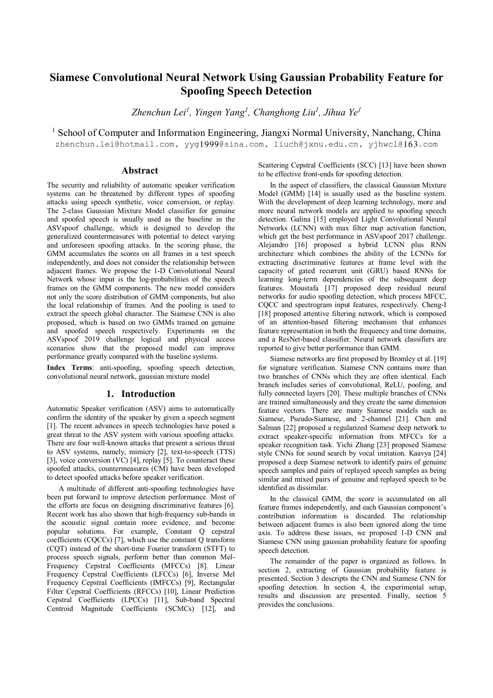# **Siamese Convolutional Neural Network Using Gaussian Probability Feature for Spoofing Speech Detection**

*Zhenchun Lei<sup>1</sup> , Yingen Yang<sup>1</sup> , Changhong Liu<sup>1</sup> , Jihua Ye<sup>1</sup>*

<sup>1</sup> School of Computer and Information Engineering, Jiangxi Normal University, Nanchang, China

zhenchun.lei@hotmail.com, yyg1999@sina.com, liuch@jxnu.edu.cn, yjhwcl@163.com

# **Abstract**

The security and reliability of automatic speaker verification systems can be threatened by different types of spoofing attacks using speech synthetic, voice conversion, or replay. The 2-class Gaussian Mixture Model classifier for genuine and spoofed speech is usually used as the baseline in the ASVspoof challenge, which is designed to develop the generalized countermeasures with potential to detect varying and unforeseen spoofing attacks. In the scoring phase, the GMM accumulates the scores on all frames in a test speech independently, and does not consider the relationship between adjacent frames. We propose the 1-D Convolutional Neural Network whose input is the log-probabilities of the speech frames on the GMM components. The new model considers not only the score distribution of GMM components, but also the local relationship of frames. And the pooling is used to extract the speech global character. The Siamese CNN is also proposed, which is based on two GMMs trained on genuine and spoofed speech respectively. Experiments on the ASVspoof 2019 challenge logical and physical access scenarios show that the proposed model can improve performance greatly compared with the baseline systems.

**Index Terms**: anti-spoofing, spoofing speech detection, convolutional neural network, gaussian mixture model

# **1. Introduction**

Automatic Speaker verification (ASV) aims to automatically confirm the identity of the speaker by given a speech segment [1]. The recent advances in speech technologies have posed a great threat to the ASV system with various spoofing attacks. There are four well-known attacks that present a serious threat to ASV systems, namely, mimicry [2], text-to-speech (TTS) [3], voice conversion (VC) [4], replay [5]. To counteract these spoofed attacks, countermeasures (CM) have been developed to detect spoofed attacks before speaker verification.

A multitude of different anti-spoofing technologies have been put forward to improve detection performance. Most of the efforts are focus on designing discriminative features [6]. Recent work has also shown that high-frequency sub-bands in the acoustic signal contain more evidence, and become popular solutions. For example, Constant Q cepstral coefficients (CQCCs) [7], which use the constant Q transform (CQT) instead of the short-time Fourier transform (STFT) to process speech signals, perform better than common Mel-Frequency Cepstral Coefficients (MFCCs) [8]. Linear Frequency Cepstral Coefficients (LFCCs) [6], Inverse Mel Frequency Cepstral Coefficients (IMFCCs) [9], Rectangular Filter Cepstral Coefficients (RFCCs) [10], Linear Prediction Cepstral Coefficients (LPCCs) [11], Sub-band Spectral Centroid Magnitude Coefficients (SCMCs) [12], and Scattering Cepstral Coefficients (SCC) [13] have been shown to be effective front-ends for spoofing detection.

In the aspect of classifiers, the classical Gaussian Mixture Model (GMM) [14] is usually used as the baseline system. With the development of deep learning technology, more and more neural network models are applied to spoofing speech detection. Galina [15] employed Light Convolutional Neural Networks (LCNN) with max filter map activation function, which get the best performance in ASVspoof 2017 challenge. Alejandro [16] proposed a hybrid LCNN plus RNN architecture which combines the ability of the LCNNs for extracting discriminative features at frame level with the capacity of gated recurrent unit (GRU) based RNNs for learning long-term dependencies of the subsequent deep features. Moustafa [17] proposed deep residual neural networks for audio spoofing detection, which process MFCC, CQCC and spectrogram input features, respectively. Cheng-I [18] proposed attentive filtering network, which is composed of an attention-based filtering mechanism that enhances feature representation in both the frequency and time domains, and a ResNet-based classifier. Neural network classifiers are reported to give better performance than GMM.

Siamese networks are first proposed by Bromley et al. [19] for signature verification. Siamese CNN contains more than two branches of CNNs which they are often identical. Each branch includes series of convolutional, ReLU, pooling, and fully connected layers [20]. These multiple branches of CNNs are trained simultaneously and they create the same dimension feature vectors. There are many Siamese models such as Siamese, Pseudo-Siamese, and 2-channel [21]. Chen and Salman [22] proposed a regularized Siamese deep network to extract speaker-specific information from MFCCs for a speaker recognition task. Yichi Zhang [23] proposed Siamese style CNNs for sound search by vocal imitation. Kaavya [24] proposed a deep Siamese network to identify pairs of genuine speech samples and pairs of replayed speech samples as being similar and mixed pairs of genuine and replayed speech to be identified as dissimilar.

In the classical GMM, the score is accumulated on all feature frames independently, and each Gaussian component's contribution information is discarded. The relationship between adjacent frames is also been ignored along the time axis. To address these issues, we proposed 1-D CNN and Siamese CNN using gaussian probability feature for spoofing speech detection.

The remainder of the paper is organized as follows. In section 2, extracting of Gaussian probability feature is presented. Section 3 descripts the CNN and Siamese CNN for spoofing detection. In section 4, the experimental setup, results and discussion are presented. Finally, section 5 provides the conclusions.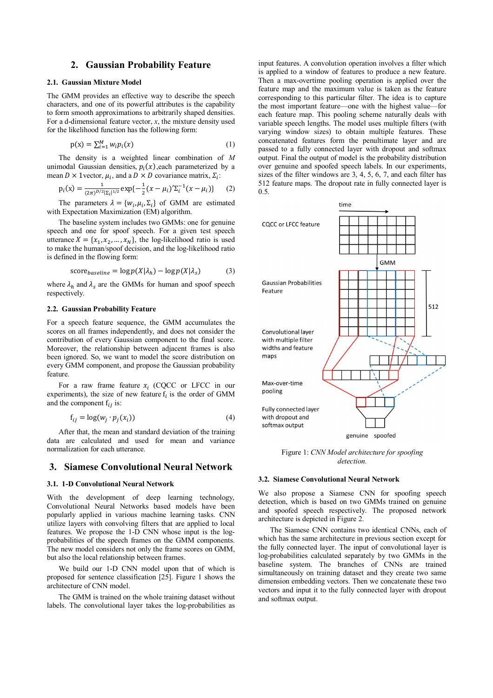### **2. Gaussian Probability Feature**

### **2.1. Gaussian Mixture Model**

The GMM provides an effective way to describe the speech characters, and one of its powerful attributes is the capability to form smooth approximations to arbitrarily shaped densities. For a d-dimensional feature vector, *x*, the mixture density used for the likelihood function has the following form:

$$
p(x) = \sum_{i=1}^{M} w_i p_i(x) \tag{1}
$$

The density is a weighted linear combination of *M* unimodal Gaussian densities,  $p_i(x)$ , each parameterized by a mean  $D \times 1$ vector,  $\mu_i$ , and a  $D \times D$  covariance matrix,  $\Sigma_i$ :

$$
p_i(x) = \frac{1}{(2\pi)^{D/2} |\Sigma_i|^{1/2}} \exp\{-\frac{1}{2}(x - \mu_i)^{\prime} \Sigma_i^{-1} (x - \mu_i)\} \tag{2}
$$

The parameters  $\lambda = \{w_i, \mu_i, \Sigma_i\}$  of GMM are estimated with Expectation Maximization (EM) algorithm.

The baseline system includes two GMMs: one for genuine speech and one for spoof speech. For a given test speech utterance  $X = \{x_1, x_2, ..., x_N\}$ , the log-likelihood ratio is used to make the human/spoof decision, and the log-likelihood ratio is defined in the flowing form:

$$
score_{baseline} = \log p(X|\lambda_h) - \log p(X|\lambda_s)
$$
 (3)

where  $\lambda_h$  and  $\lambda_s$  are the GMMs for human and spoof speech respectively.

#### **2.2. Gaussian Probability Feature**

For a speech feature sequence, the GMM accumulates the scores on all frames independently, and does not consider the contribution of every Gaussian component to the final score. Moreover, the relationship between adjacent frames is also been ignored. So, we want to model the score distribution on every GMM component, and propose the Gaussian probability feature.

For a raw frame feature  $x_i$  (CQCC or LFCC in our experiments), the size of new feature  $f_i$  is the order of GMM and the component  $f_{ij}$  is:

$$
f_{ij} = \log(w_j \cdot p_j(x_i))
$$
\n(4)

After that, the mean and standard deviation of the training data are calculated and used for mean and variance normalization for each utterance.

# **3. Siamese Convolutional Neural Network**

### **3.1. 1-D Convolutional Neural Network**

With the development of deep learning technology, Convolutional Neural Networks based models have been popularly applied in various machine learning tasks. CNN utilize layers with convolving filters that are applied to local features. We propose the 1-D CNN whose input is the logprobabilities of the speech frames on the GMM components. The new model considers not only the frame scores on GMM, but also the local relationship between frames.

We build our 1-D CNN model upon that of which is proposed for sentence classification [25]. Figure 1 shows the architecture of CNN model.

The GMM is trained on the whole training dataset without labels. The convolutional layer takes the log-probabilities as

input features. A convolution operation involves a filter which is applied to a window of features to produce a new feature. Then a max-overtime pooling operation is applied over the feature map and the maximum value is taken as the feature corresponding to this particular filter. The idea is to capture the most important feature—one with the highest value—for each feature map. This pooling scheme naturally deals with variable speech lengths. The model uses multiple filters (with varying window sizes) to obtain multiple features. These concatenated features form the penultimate layer and are passed to a fully connected layer with dropout and softmax output. Final the output of model is the probability distribution over genuine and spoofed speech labels. In our experiments, sizes of the filter windows are 3, 4, 5, 6, 7, and each filter has 512 feature maps. The dropout rate in fully connected layer is 0.5.



Figure 1: *CNN Model architecture for spoofing detection.* 

#### **3.2. Siamese Convolutional Neural Network**

We also propose a Siamese CNN for spoofing speech detection, which is based on two GMMs trained on genuine and spoofed speech respectively. The proposed network architecture is depicted in Figure 2.

The Siamese CNN contains two identical CNNs, each of which has the same architecture in previous section except for the fully connected layer. The input of convolutional layer is log-probabilities calculated separately by two GMMs in the baseline system. The branches of CNNs are trained simultaneously on training dataset and they create two same dimension embedding vectors. Then we concatenate these two vectors and input it to the fully connected layer with dropout and softmax output.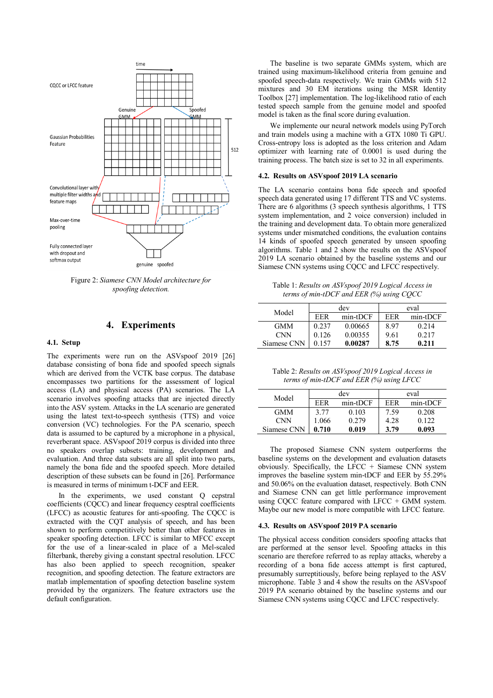

Figure 2: *Siamese CNN Model architecture for spoofing detection.*

### **4. Experiments**

#### **4.1. Setup**

The experiments were run on the ASVspoof 2019 [26] database consisting of bona fide and spoofed speech signals which are derived from the VCTK base corpus. The database encompasses two partitions for the assessment of logical access (LA) and physical access (PA) scenarios. The LA scenario involves spoofing attacks that are injected directly into the ASV system. Attacks in the LA scenario are generated using the latest text-to-speech synthesis (TTS) and voice conversion (VC) technologies. For the PA scenario, speech data is assumed to be captured by a microphone in a physical, reverberant space. ASVspoof 2019 corpus is divided into three no speakers overlap subsets: training, development and evaluation. And three data subsets are all split into two parts, namely the bona fide and the spoofed speech. More detailed description of these subsets can be found in [26]. Performance is measured in terms of minimum t-DCF and EER.

In the experiments, we used constant O cepstral coefficients (CQCC) and linear frequency cesptral coefficients (LFCC) as acoustic features for anti-spoofing. The CQCC is extracted with the CQT analysis of speech, and has been shown to perform competitively better than other features in speaker spoofing detection. LFCC is similar to MFCC except for the use of a linear-scaled in place of a Mel-scaled filterbank, thereby giving a constant spectral resolution. LFCC has also been applied to speech recognition, speaker recognition, and spoofing detection. The feature extractors are matlab implementation of spoofing detection baseline system provided by the organizers. The feature extractors use the default configuration.

The baseline is two separate GMMs system, which are trained using maximum-likelihood criteria from genuine and spoofed speech-data respectively. We train GMMs with 512 mixtures and 30 EM iterations using the MSR Identity Toolbox [27] implementation. The log-likelihood ratio of each tested speech sample from the genuine model and spoofed model is taken as the final score during evaluation.

We implemente our neural network models using PyTorch and train models using a machine with a GTX 1080 Ti GPU. Cross-entropy loss is adopted as the loss criterion and Adam optimizer with learning rate of 0.0001 is used during the training process. The batch size is set to 32 in all experiments.

#### **4.2. Results on ASVspoof 2019 LA scenario**

The LA scenario contains bona fide speech and spoofed speech data generated using 17 different TTS and VC systems. There are 6 algorithms (3 speech synthesis algorithms, 1 TTS system implementation, and 2 voice conversion) included in the training and development data. To obtain more generalized systems under mismatched conditions, the evaluation contains 14 kinds of spoofed speech generated by unseen spoofing algorithms. Table 1 and 2 show the results on the ASVspoof 2019 LA scenario obtained by the baseline systems and our Siamese CNN systems using CQCC and LFCC respectively.

Table 1: *Results on ASVspoof 2019 Logical Access in terms of min-tDCF and EER (%) using CQCC* 

|             | dev   |          | eval       |          |
|-------------|-------|----------|------------|----------|
| Model       | FFR   | min-tDCF | <b>FFR</b> | min-tDCF |
| <b>GMM</b>  | 0.237 | 0.00665  | 8.97       | 0.214    |
| <b>CNN</b>  | 0.126 | 0.00355  | 9.61       | 0.217    |
| Siamese CNN | 0.157 | 0.00287  | 8.75       | 0.211    |

Table 2: *Results on ASVspoof 2019 Logical Access in terms of min-tDCF and EER (%) using LFCC*

| Model       | dev   |          | eval       |          |
|-------------|-------|----------|------------|----------|
|             | EER   | min-tDCF | <b>FFR</b> | min-tDCF |
| <b>GMM</b>  | 3.77  | 0.103    | 7.59       | 0.208    |
| <b>CNN</b>  | 1.066 | 0.279    | 4.28       | 0.122    |
| Siamese CNN | 0.710 | 0.019    | 3.79       | 0.093    |

The proposed Siamese CNN system outperforms the baseline systems on the development and evaluation datasets obviously. Specifically, the LFCC + Siamese CNN system improves the baseline system min-tDCF and EER by 55.29% and 50.06% on the evaluation dataset, respectively. Both CNN and Siamese CNN can get little performance improvement using CQCC feature compared with LFCC  $+$  GMM system. Maybe our new model is more compatible with LFCC feature.

#### **4.3. Results on ASVspoof 2019 PA scenario**

The physical access condition considers spoofing attacks that are performed at the sensor level. Spoofing attacks in this scenario are therefore referred to as replay attacks, whereby a recording of a bona fide access attempt is first captured, presumably surreptitiously, before being replayed to the ASV microphone. Table 3 and 4 show the results on the ASVspoof 2019 PA scenario obtained by the baseline systems and our Siamese CNN systems using CQCC and LFCC respectively.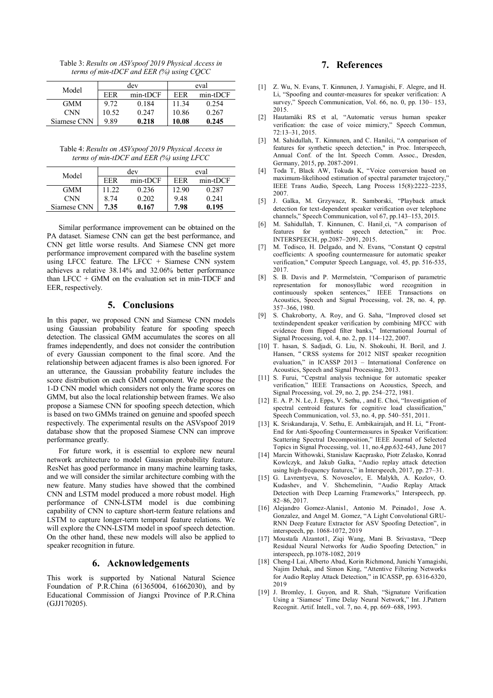Table 3: *Results on ASVspoof 2019 Physical Access in terms of min-tDCF and EER (%) using CQCC* 

| Model       | dev   |          | eval  |          |
|-------------|-------|----------|-------|----------|
|             | EER   | min-tDCF | FFR   | min-tDCF |
| <b>GMM</b>  | 9.72  | 0.184    | 11.34 | 0.254    |
| CNN         | 10.52 | 0.247    | 10.86 | 0.267    |
| Siamese CNN | 9.89  | 0.218    | 10.08 | 0.245    |

Table 4: *Results on ASVspoof 2019 Physical Access in terms of min-tDCF and EER (%) using LFCC* 

| Model       | dev   |          | eval  |          |
|-------------|-------|----------|-------|----------|
|             | EER   | min-tDCF | EER   | min-tDCF |
| <b>GMM</b>  | 11.22 | 0.236    | 12.90 | 0.287    |
| <b>CNN</b>  | 8.74  | 0.202    | 9.48  | 0.241    |
| Siamese CNN | 7.35  | 0.167    | 7.98  | 0.195    |

Similar performance improvement can be obtained on the PA dataset. Siamese CNN can get the best performance, and CNN get little worse results. And Siamese CNN get more performance improvement compared with the baseline system using LFCC feature. The LFCC  $+$  Siamese CNN system achieves a relative 38.14% and 32.06% better performance than  $LFCC + GMM$  on the evaluation set in min-TDCF and EER, respectively.

# **5. Conclusions**

In this paper, we proposed CNN and Siamese CNN models using Gaussian probability feature for spoofing speech detection. The classical GMM accumulates the scores on all frames independently, and does not consider the contribution of every Gaussian component to the final score. And the relationship between adjacent frames is also been ignored. For an utterance, the Gaussian probability feature includes the score distribution on each GMM component. We propose the 1-D CNN model which considers not only the frame scores on GMM, but also the local relationship between frames. We also propose a Siamese CNN for spoofing speech detection, which is based on two GMMs trained on genuine and spoofed speech respectively. The experimental results on the ASVspoof 2019 database show that the proposed Siamese CNN can improve performance greatly.

For future work, it is essential to explore new neural network architecture to model Gaussian probability feature. ResNet has good performance in many machine learning tasks, and we will consider the similar architecture combing with the new feature. Many studies have showed that the combined CNN and LSTM model produced a more robust model. High performance of CNN-LSTM model is due combining capability of CNN to capture short-term feature relations and LSTM to capture longer-term temporal feature relations. We will explore the CNN-LSTM model in spoof speech detection. On the other hand, these new models will also be applied to speaker recognition in future.

### **6. Acknowledgements**

This work is supported by National Natural Science Foundation of P.R.China (61365004, 61662030), and by Educational Commission of Jiangxi Province of P.R.China (GJJ170205).

# **7. References**

- [1] Z. Wu, N. Evans, T. Kinnunen, J. Yamagishi, F. Alegre, and H. Li, "Spoofing and counter-measures for speaker verification: A survey," Speech Communication, Vol. 66, no. 0, pp. 130– 153, 2015.
- [2] Hautamäki RS et al, "Automatic versus human speaker verification: the case of voice mimicry," Speech Commun, 72:13–31, 2015.
- [3] M. Sahidullah, T. Kinnunen, and C. Hanilci, "A comparison of features for synthetic speech detection," in Proc. Interspeech, Annual Conf. of the Int. Speech Comm. Assoc., Dresden, Germany, 2015, pp. 2087-2091.
- [4] Toda T, Black AW, Tokuda K, "Voice conversion based on maximum-likelihood estimation of spectral parameter trajectory,' IEEE Trans Audio, Speech, Lang Process 15(8):2222–2235, 2007.
- [5] J. Galka, M. Grzywacz, R. Samborski, "Playback attack detection for text-dependent speaker verification over telephone channels," Speech Communication, vol 67, pp.143–153, 2015.
- [6] M. Sahidullah, T. Kinnunen, C. Hanil¸ci, "A comparison of features for synthetic speech detection," in: Proc. INTERSPEECH, pp.2087–2091, 2015.
- [7] M. Todisco, H. Delgado, and N. Evans, "Constant Q cepstral coefficients: A spoofing countermeasure for automatic speaker verification," Computer Speech Language, vol. 45, pp. 516-535, 2017.
- [8] S. B. Davis and P. Mermelstein, "Comparison of parametric representation for monosyllabic word recognition in continuously spoken sentences," IEEE Transactions on Acoustics, Speech and Signal Processing, vol. 28, no. 4, pp. 357–366, 1980.
- [9] S. Chakroborty, A. Roy, and G. Saha, "Improved closed set textindependent speaker verification by combining MFCC with evidence from flipped filter banks," International Journal of Signal Processing, vol. 4, no. 2, pp. 114–122, 2007.
- [10] T. hasan, S. Sadjadi, G. Liu, N. Shokouhi, H. Boril, and J. Hansen,"CRSS systems for 2012 NIST speaker recognition evaluation," in ICASSP 2013 – International Conference on Acoustics, Speech and Signal Processing, 2013.
- [11] S. Furui, "Cepstral analysis technique for automatic speaker verification," IEEE Transactions on Acoustics, Speech, and Signal Processing, vol. 29, no. 2, pp. 254–272, 1981.
- [12] E. A. P. N. Le, J. Epps, V. Sethu, , and E. Choi, "Investigation of spectral centroid features for cognitive load classification," Speech Communication, vol. 53, no. 4, pp. 540–551, 2011.
- [13] K. Sriskandaraja, V. Sethu, E. Ambikairajah, and H. Li, "Front-End for Anti-Spoofing Countermeasures in Speaker Verification: Scattering Spectral Decomposition," IEEE Journal of Selected Topics in Signal Processing, vol. 11, no.4,pp.632-643, June 2017
- [14] Marcin Withowski, Stanislaw Kacprasko, Piotr Zelasko, Konrad Kowlczyk, and Jakub Galka, "Audio replay attack detection using high-frequency features," in Interspeech, 2017, pp. 27–31.
- [15] G. Lavrentyeva, S. Novoselov, E. Malykh, A. Kozlov, O. Kudashev, and V. Shchemelinin, "Audio Replay Attack Detection with Deep Learning Frameworks," Interspeech, pp. 82–86, 2017.
- [16] Alejandro Gomez-Alanis1, Antonio M. Peinado1, Jose A. Gonzalez, and Angel M. Gomez, "A Light Convolutional GRU-RNN Deep Feature Extractor for ASV Spoofing Detection", in interspeech, pp. 1068-1072, 2019
- [17] Moustafa Alzantot1, Ziqi Wang, Mani B. Srivastava, "Deep Residual Neural Networks for Audio Spoofing Detection," in interspeech, pp.1078-1082, 2019
- [18] Cheng-I Lai, Alberto Abad, Korin Richmond, Junichi Yamagishi, Najim Dehak, and Simon King, "Attentive Filtering Networks for Audio Replay Attack Detection," in ICASSP, pp. 6316-6320, 2019
- [19] J. Bromley, I. Guyon, and R. Shah, "Signature Verification Using a 'Siamese' Time Delay Neural Network," Int. J.Pattern Recognit. Artif. Intell., vol. 7, no. 4, pp. 669–688, 1993.